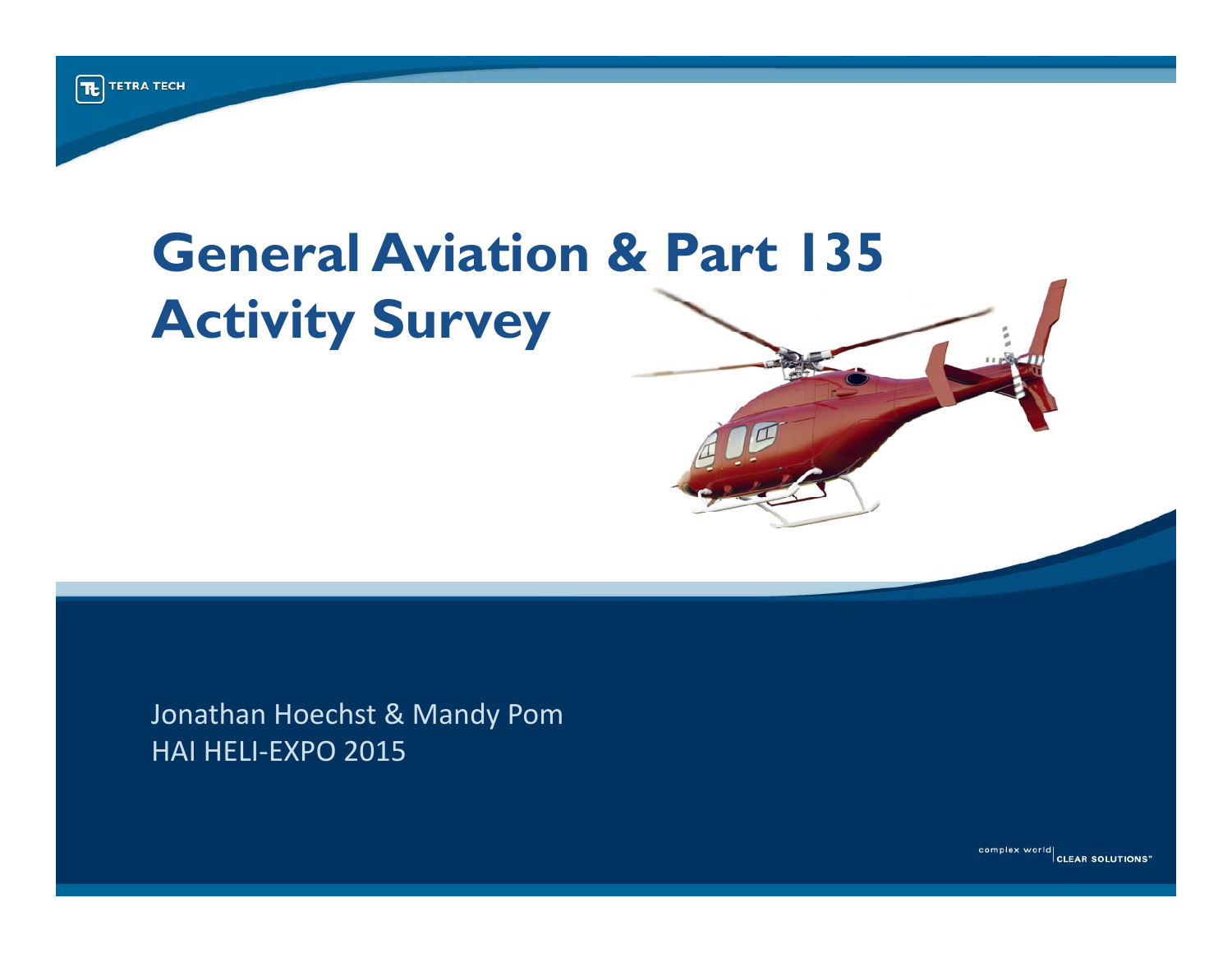# **General Aviation & Part 135 Activity Survey**

Jonathan Hoechst & Mandy Pom HAI HELI ‐EXPO 2015

complex world<br>CLEAR SOLUTIONS"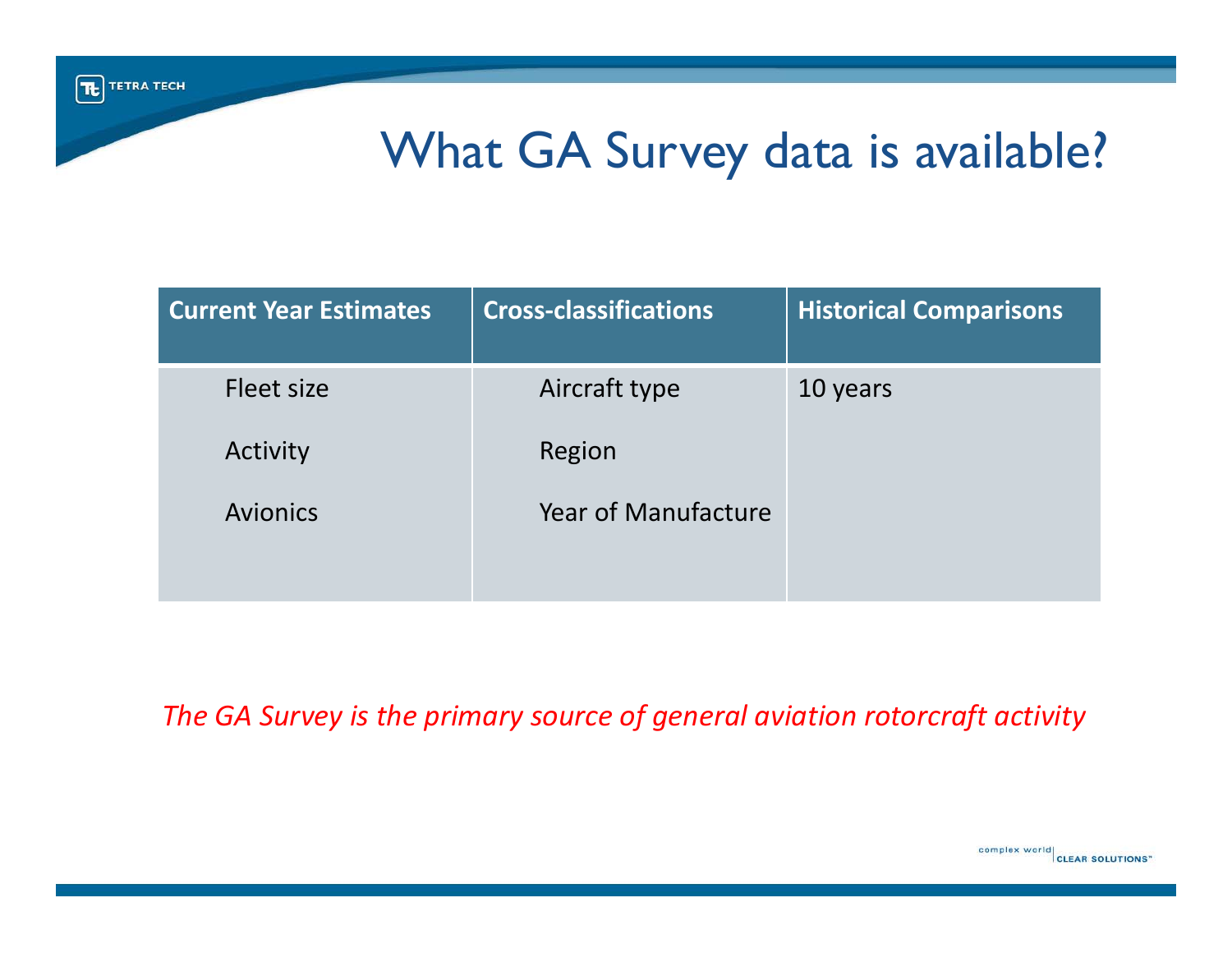### What GA Survey data is available?

| <b>Current Year Estimates</b> | <b>Cross-classifications</b> | <b>Historical Comparisons</b> |
|-------------------------------|------------------------------|-------------------------------|
| Fleet size                    | Aircraft type                | 10 years                      |
| Activity                      | Region                       |                               |
| <b>Avionics</b>               | Year of Manufacture          |                               |

*The GA Survey is the primary source of general aviation rotorcraft activity*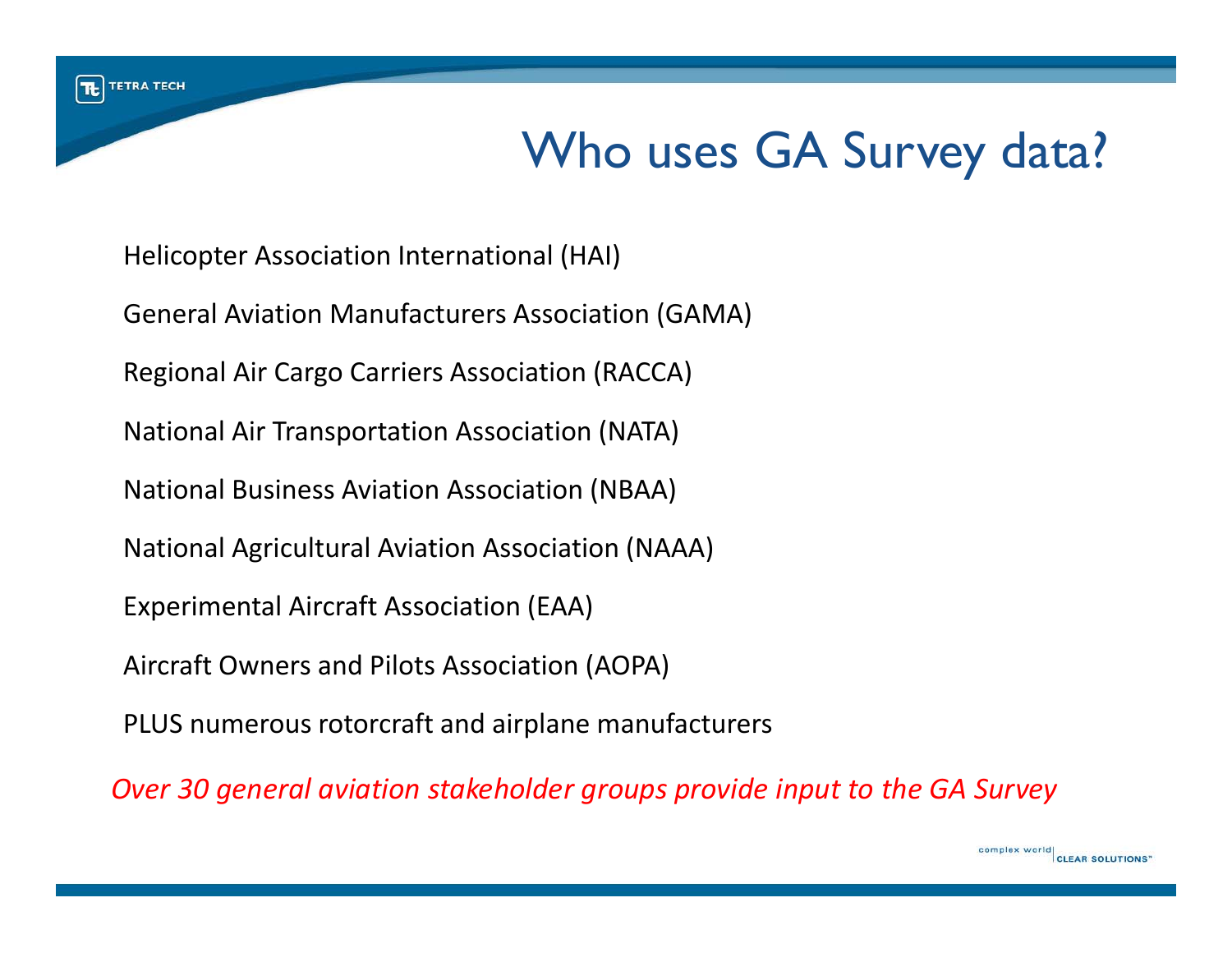## Who uses GA Survey data?

complex world

CLEAR SOLUTIONS'

Helicopter Association International (HAI) General Aviation Manufacturers Association (GAMA) Regional Air Cargo Carriers Association (RACCA) National Air Transportation Association (NATA) National Business Aviation Association (NBAA) National Agricultural Aviation Association (NAAA) Experimental Aircraft Association (EAA) Aircraft Owners and Pilots Association (AOPA) PLUS numerous rotorcraft and airplane manufacturers

*Over 30 general aviation stakeholder groups provide input to the GA Survey*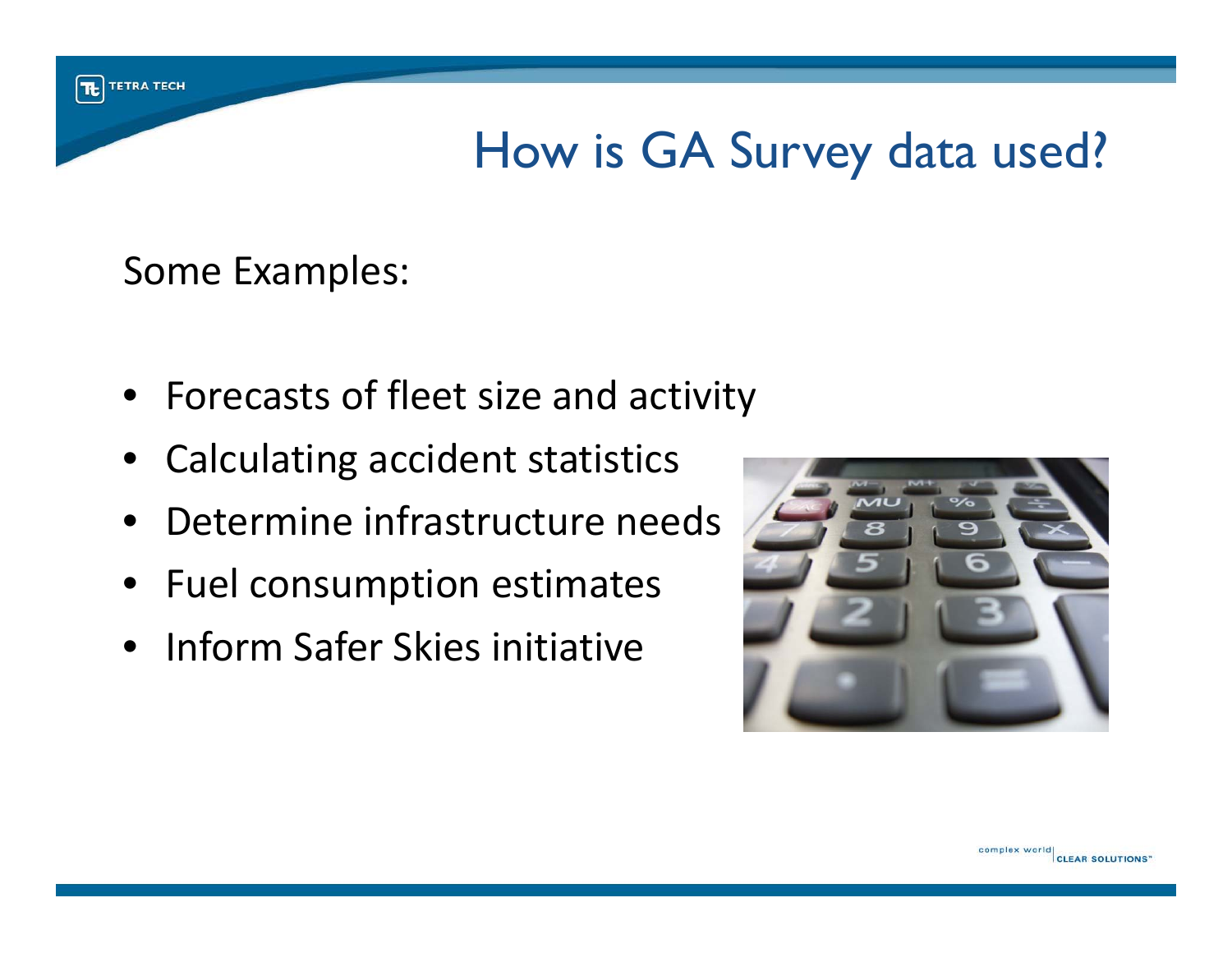How is GA Survey data used?

Some Examples:

 $|\mathbf{t}|$ 

**TETRA TECH** 

- Forecasts of fleet size and activity
- •Calculating accident statistics
- •Determine infrastructure needs
- Fuel consumption estimates
- Inform Safer Skies initiative

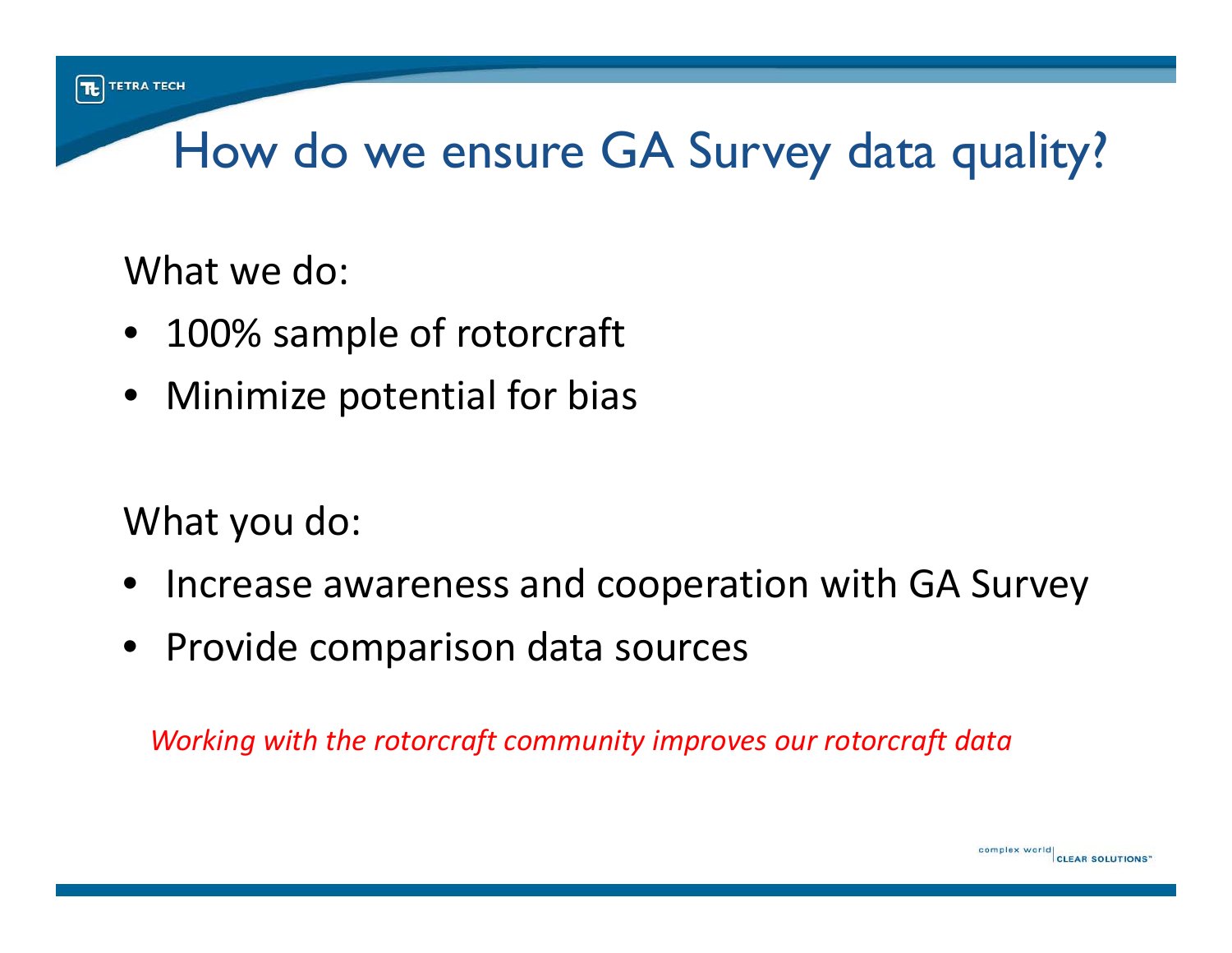# How do we ensure GA Survey data quality?

What we do:

- 100% sample of rotorcraft
- Minimize potential for bias

What you do:

- •• Increase awareness and cooperation with GA Survey
- Provide comparison data sources

*Working with the rotorcraft community improves our rotorcraft data*

complex world

**CLEAR SOLUTIONS'**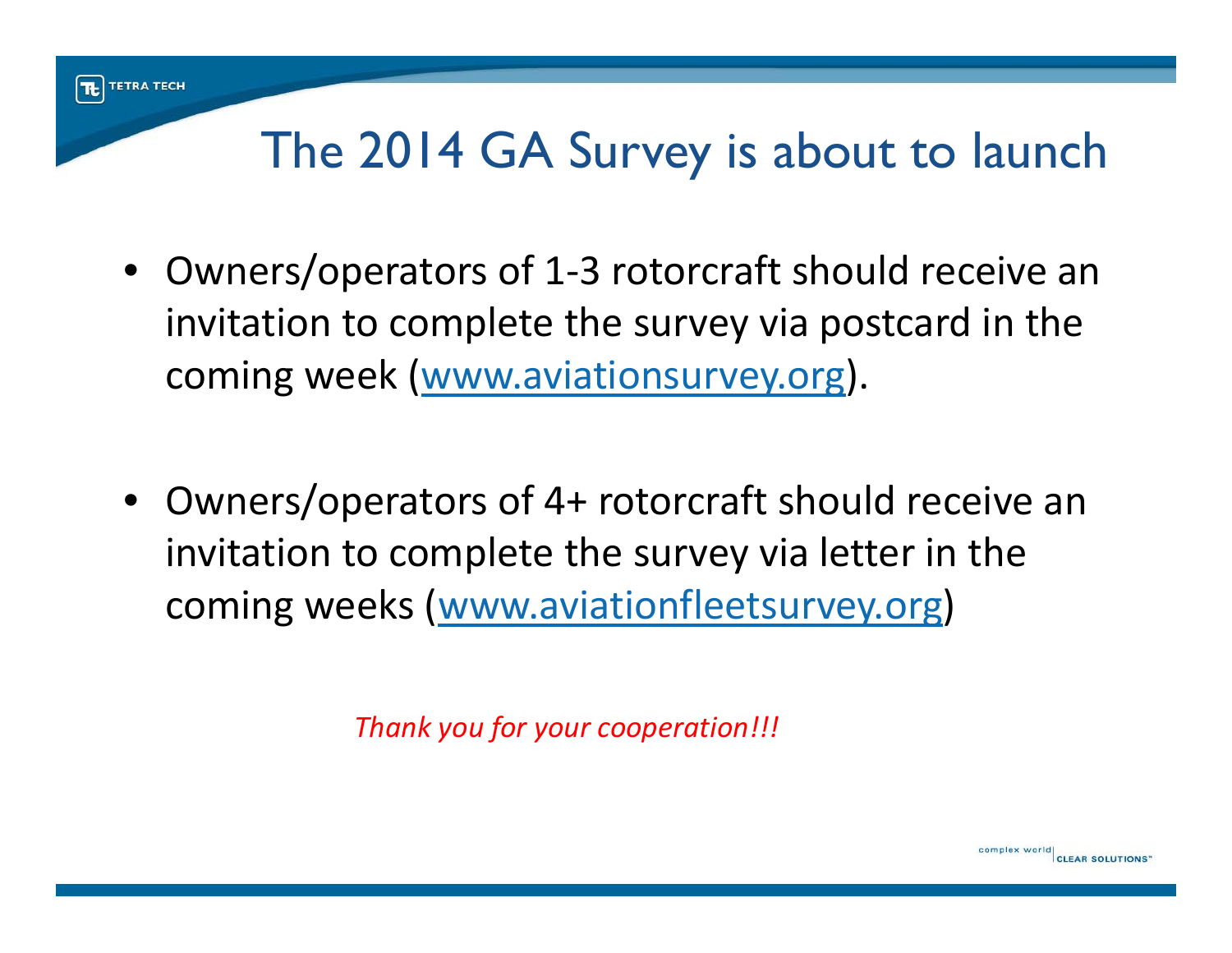#### $|\mathbf{t}|$ **TETRA TECH**

#### The 2014 GA Survey is about to launch

- Owners/operators of 1‐3 rotorcraft should receive an invitation to complete the survey via postcard in the coming week (www.aviationsurvey.org).
- Owners/operators of 4+ rotorcraft should receive an invitation to complete the survey via letter in the coming weeks (www.aviationfleetsurvey.org)

*Thank you for your cooperation!!!*